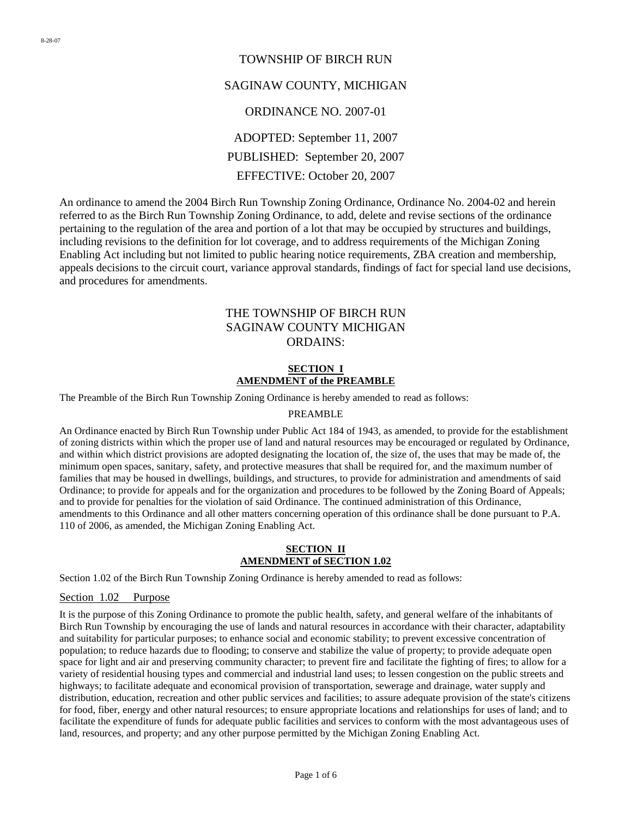# TOWNSHIP OF BIRCH RUN SAGINAW COUNTY, MICHIGAN ORDINANCE NO. 2007-01 ADOPTED: September 11, 2007 PUBLISHED: September 20, 2007 EFFECTIVE: October 20, 2007

An ordinance to amend the 2004 Birch Run Township Zoning Ordinance, Ordinance No. 2004-02 and herein referred to as the Birch Run Township Zoning Ordinance, to add, delete and revise sections of the ordinance pertaining to the regulation of the area and portion of a lot that may be occupied by structures and buildings, including revisions to the definition for lot coverage, and to address requirements of the Michigan Zoning Enabling Act including but not limited to public hearing notice requirements, ZBA creation and membership, appeals decisions to the circuit court, variance approval standards, findings of fact for special land use decisions, and procedures for amendments.

## THE TOWNSHIP OF BIRCH RUN SAGINAW COUNTY MICHIGAN ORDAINS:

## **SECTION I AMENDMENT of the PREAMBLE**

The Preamble of the Birch Run Township Zoning Ordinance is hereby amended to read as follows:

## PREAMBLE

An Ordinance enacted by Birch Run Township under Public Act 184 of 1943, as amended, to provide for the establishment of zoning districts within which the proper use of land and natural resources may be encouraged or regulated by Ordinance, and within which district provisions are adopted designating the location of, the size of, the uses that may be made of, the minimum open spaces, sanitary, safety, and protective measures that shall be required for, and the maximum number of families that may be housed in dwellings, buildings, and structures, to provide for administration and amendments of said Ordinance; to provide for appeals and for the organization and procedures to be followed by the Zoning Board of Appeals; and to provide for penalties for the violation of said Ordinance. The continued administration of this Ordinance, amendments to this Ordinance and all other matters concerning operation of this ordinance shall be done pursuant to P.A. 110 of 2006, as amended, the Michigan Zoning Enabling Act.

## **SECTION II AMENDMENT of SECTION 1.02**

Section 1.02 of the Birch Run Township Zoning Ordinance is hereby amended to read as follows:

## Section 1.02 Purpose

It is the purpose of this Zoning Ordinance to promote the public health, safety, and general welfare of the inhabitants of Birch Run Township by encouraging the use of lands and natural resources in accordance with their character, adaptability and suitability for particular purposes; to enhance social and economic stability; to prevent excessive concentration of population; to reduce hazards due to flooding; to conserve and stabilize the value of property; to provide adequate open space for light and air and preserving community character; to prevent fire and facilitate the fighting of fires; to allow for a variety of residential housing types and commercial and industrial land uses; to lessen congestion on the public streets and highways; to facilitate adequate and economical provision of transportation, sewerage and drainage, water supply and distribution, education, recreation and other public services and facilities; to assure adequate provision of the state's citizens for food, fiber, energy and other natural resources; to ensure appropriate locations and relationships for uses of land; and to facilitate the expenditure of funds for adequate public facilities and services to conform with the most advantageous uses of land, resources, and property; and any other purpose permitted by the Michigan Zoning Enabling Act.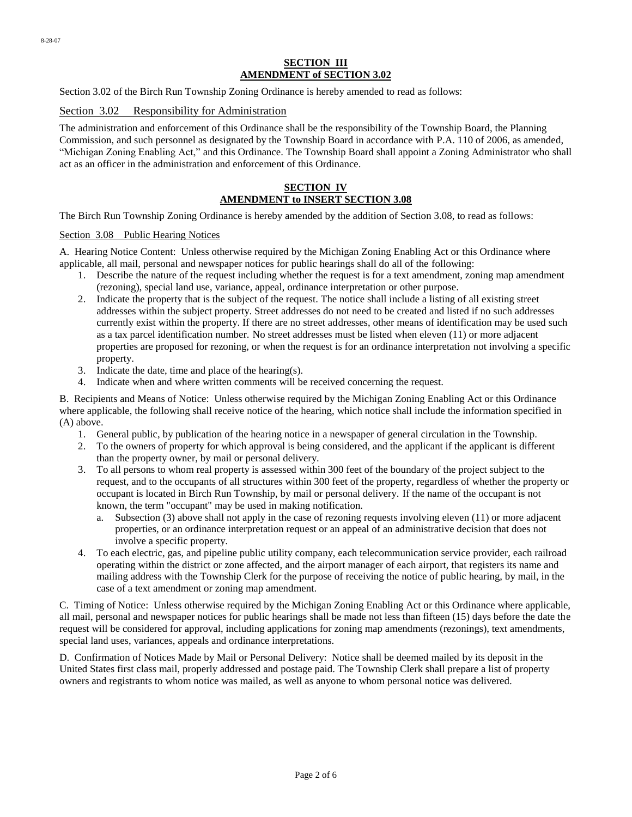#### **SECTION III AMENDMENT of SECTION 3.02**

Section 3.02 of the Birch Run Township Zoning Ordinance is hereby amended to read as follows:

## Section 3.02 Responsibility for Administration

The administration and enforcement of this Ordinance shall be the responsibility of the Township Board, the Planning Commission, and such personnel as designated by the Township Board in accordance with P.A. 110 of 2006, as amended, "Michigan Zoning Enabling Act," and this Ordinance. The Township Board shall appoint a Zoning Administrator who shall act as an officer in the administration and enforcement of this Ordinance.

## **SECTION IV AMENDMENT to INSERT SECTION 3.08**

The Birch Run Township Zoning Ordinance is hereby amended by the addition of Section 3.08, to read as follows:

#### Section 3.08 Public Hearing Notices

A. Hearing Notice Content: Unless otherwise required by the Michigan Zoning Enabling Act or this Ordinance where applicable, all mail, personal and newspaper notices for public hearings shall do all of the following:

- 1. Describe the nature of the request including whether the request is for a text amendment, zoning map amendment (rezoning), special land use, variance, appeal, ordinance interpretation or other purpose.
- 2. Indicate the property that is the subject of the request. The notice shall include a listing of all existing street addresses within the subject property. Street addresses do not need to be created and listed if no such addresses currently exist within the property. If there are no street addresses, other means of identification may be used such as a tax parcel identification number. No street addresses must be listed when eleven (11) or more adjacent properties are proposed for rezoning, or when the request is for an ordinance interpretation not involving a specific property.
- 3. Indicate the date, time and place of the hearing(s).
- 4. Indicate when and where written comments will be received concerning the request.

B. Recipients and Means of Notice: Unless otherwise required by the Michigan Zoning Enabling Act or this Ordinance where applicable, the following shall receive notice of the hearing, which notice shall include the information specified in (A) above.

- 1. General public, by publication of the hearing notice in a newspaper of general circulation in the Township.
- 2. To the owners of property for which approval is being considered, and the applicant if the applicant is different than the property owner, by mail or personal delivery.
- 3. To all persons to whom real property is assessed within 300 feet of the boundary of the project subject to the request, and to the occupants of all structures within 300 feet of the property, regardless of whether the property or occupant is located in Birch Run Township, by mail or personal delivery. If the name of the occupant is not known, the term "occupant" may be used in making notification.
	- a. Subsection (3) above shall not apply in the case of rezoning requests involving eleven (11) or more adjacent properties, or an ordinance interpretation request or an appeal of an administrative decision that does not involve a specific property.
- 4. To each electric, gas, and pipeline public utility company, each telecommunication service provider, each railroad operating within the district or zone affected, and the airport manager of each airport, that registers its name and mailing address with the Township Clerk for the purpose of receiving the notice of public hearing, by mail, in the case of a text amendment or zoning map amendment.

C. Timing of Notice: Unless otherwise required by the Michigan Zoning Enabling Act or this Ordinance where applicable, all mail, personal and newspaper notices for public hearings shall be made not less than fifteen (15) days before the date the request will be considered for approval, including applications for zoning map amendments (rezonings), text amendments, special land uses, variances, appeals and ordinance interpretations.

D. Confirmation of Notices Made by Mail or Personal Delivery: Notice shall be deemed mailed by its deposit in the United States first class mail, properly addressed and postage paid. The Township Clerk shall prepare a list of property owners and registrants to whom notice was mailed, as well as anyone to whom personal notice was delivered.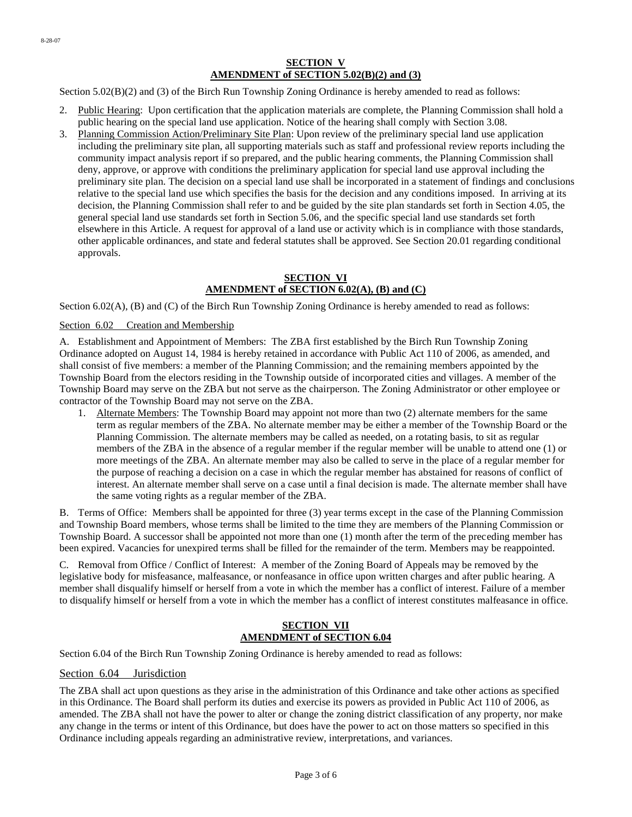#### **SECTION V AMENDMENT of SECTION 5.02(B)(2) and (3)**

Section 5.02(B)(2) and (3) of the Birch Run Township Zoning Ordinance is hereby amended to read as follows:

- 2. Public Hearing: Upon certification that the application materials are complete, the Planning Commission shall hold a public hearing on the special land use application. Notice of the hearing shall comply with Section 3.08.
- 3. Planning Commission Action/Preliminary Site Plan: Upon review of the preliminary special land use application including the preliminary site plan, all supporting materials such as staff and professional review reports including the community impact analysis report if so prepared, and the public hearing comments, the Planning Commission shall deny, approve, or approve with conditions the preliminary application for special land use approval including the preliminary site plan. The decision on a special land use shall be incorporated in a statement of findings and conclusions relative to the special land use which specifies the basis for the decision and any conditions imposed. In arriving at its decision, the Planning Commission shall refer to and be guided by the site plan standards set forth in Section 4.05, the general special land use standards set forth in Section 5.06, and the specific special land use standards set forth elsewhere in this Article. A request for approval of a land use or activity which is in compliance with those standards, other applicable ordinances, and state and federal statutes shall be approved. See Section 20.01 regarding conditional approvals.

## **SECTION VI AMENDMENT of SECTION 6.02(A), (B) and (C)**

Section 6.02(A), (B) and (C) of the Birch Run Township Zoning Ordinance is hereby amended to read as follows:

#### Section 6.02 Creation and Membership

A. Establishment and Appointment of Members: The ZBA first established by the Birch Run Township Zoning Ordinance adopted on August 14, 1984 is hereby retained in accordance with Public Act 110 of 2006, as amended, and shall consist of five members: a member of the Planning Commission; and the remaining members appointed by the Township Board from the electors residing in the Township outside of incorporated cities and villages. A member of the Township Board may serve on the ZBA but not serve as the chairperson. The Zoning Administrator or other employee or contractor of the Township Board may not serve on the ZBA.

1. Alternate Members: The Township Board may appoint not more than two (2) alternate members for the same term as regular members of the ZBA. No alternate member may be either a member of the Township Board or the Planning Commission. The alternate members may be called as needed, on a rotating basis, to sit as regular members of the ZBA in the absence of a regular member if the regular member will be unable to attend one (1) or more meetings of the ZBA. An alternate member may also be called to serve in the place of a regular member for the purpose of reaching a decision on a case in which the regular member has abstained for reasons of conflict of interest. An alternate member shall serve on a case until a final decision is made. The alternate member shall have the same voting rights as a regular member of the ZBA.

B. Terms of Office: Members shall be appointed for three (3) year terms except in the case of the Planning Commission and Township Board members, whose terms shall be limited to the time they are members of the Planning Commission or Township Board. A successor shall be appointed not more than one (1) month after the term of the preceding member has been expired. Vacancies for unexpired terms shall be filled for the remainder of the term. Members may be reappointed.

C. Removal from Office / Conflict of Interest: A member of the Zoning Board of Appeals may be removed by the legislative body for misfeasance, malfeasance, or nonfeasance in office upon written charges and after public hearing. A member shall disqualify himself or herself from a vote in which the member has a conflict of interest. Failure of a member to disqualify himself or herself from a vote in which the member has a conflict of interest constitutes malfeasance in office.

#### **SECTION VII AMENDMENT of SECTION 6.04**

Section 6.04 of the Birch Run Township Zoning Ordinance is hereby amended to read as follows:

#### Section 6.04 Jurisdiction

The ZBA shall act upon questions as they arise in the administration of this Ordinance and take other actions as specified in this Ordinance. The Board shall perform its duties and exercise its powers as provided in Public Act 110 of 2006, as amended. The ZBA shall not have the power to alter or change the zoning district classification of any property, nor make any change in the terms or intent of this Ordinance, but does have the power to act on those matters so specified in this Ordinance including appeals regarding an administrative review, interpretations, and variances.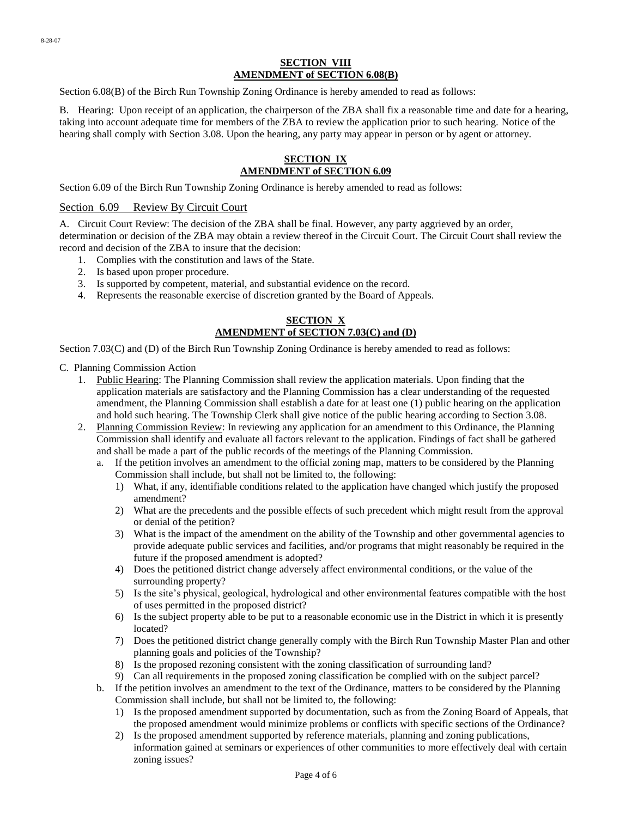#### **SECTION VIII AMENDMENT of SECTION 6.08(B)**

Section 6.08(B) of the Birch Run Township Zoning Ordinance is hereby amended to read as follows:

B. Hearing: Upon receipt of an application, the chairperson of the ZBA shall fix a reasonable time and date for a hearing, taking into account adequate time for members of the ZBA to review the application prior to such hearing. Notice of the hearing shall comply with Section 3.08. Upon the hearing, any party may appear in person or by agent or attorney.

## **SECTION IX AMENDMENT of SECTION 6.09**

Section 6.09 of the Birch Run Township Zoning Ordinance is hereby amended to read as follows:

Section 6.09 Review By Circuit Court

A. Circuit Court Review: The decision of the ZBA shall be final. However, any party aggrieved by an order, determination or decision of the ZBA may obtain a review thereof in the Circuit Court. The Circuit Court shall review the record and decision of the ZBA to insure that the decision:

- 1. Complies with the constitution and laws of the State.
- 2. Is based upon proper procedure.
- 3. Is supported by competent, material, and substantial evidence on the record.
- 4. Represents the reasonable exercise of discretion granted by the Board of Appeals.

## **SECTION X AMENDMENT of SECTION 7.03(C) and (D)**

Section 7.03(C) and (D) of the Birch Run Township Zoning Ordinance is hereby amended to read as follows:

- C. Planning Commission Action
	- 1. Public Hearing: The Planning Commission shall review the application materials. Upon finding that the application materials are satisfactory and the Planning Commission has a clear understanding of the requested amendment, the Planning Commission shall establish a date for at least one (1) public hearing on the application and hold such hearing. The Township Clerk shall give notice of the public hearing according to Section 3.08.
	- 2. Planning Commission Review: In reviewing any application for an amendment to this Ordinance, the Planning Commission shall identify and evaluate all factors relevant to the application. Findings of fact shall be gathered and shall be made a part of the public records of the meetings of the Planning Commission.
		- a. If the petition involves an amendment to the official zoning map, matters to be considered by the Planning Commission shall include, but shall not be limited to, the following:
			- 1) What, if any, identifiable conditions related to the application have changed which justify the proposed amendment?
			- 2) What are the precedents and the possible effects of such precedent which might result from the approval or denial of the petition?
			- 3) What is the impact of the amendment on the ability of the Township and other governmental agencies to provide adequate public services and facilities, and/or programs that might reasonably be required in the future if the proposed amendment is adopted?
			- 4) Does the petitioned district change adversely affect environmental conditions, or the value of the surrounding property?
			- 5) Is the site's physical, geological, hydrological and other environmental features compatible with the host of uses permitted in the proposed district?
			- 6) Is the subject property able to be put to a reasonable economic use in the District in which it is presently located?
			- 7) Does the petitioned district change generally comply with the Birch Run Township Master Plan and other planning goals and policies of the Township?
			- 8) Is the proposed rezoning consistent with the zoning classification of surrounding land?
			- 9) Can all requirements in the proposed zoning classification be complied with on the subject parcel?
		- b. If the petition involves an amendment to the text of the Ordinance, matters to be considered by the Planning Commission shall include, but shall not be limited to, the following:
			- 1) Is the proposed amendment supported by documentation, such as from the Zoning Board of Appeals, that the proposed amendment would minimize problems or conflicts with specific sections of the Ordinance?
			- 2) Is the proposed amendment supported by reference materials, planning and zoning publications, information gained at seminars or experiences of other communities to more effectively deal with certain zoning issues?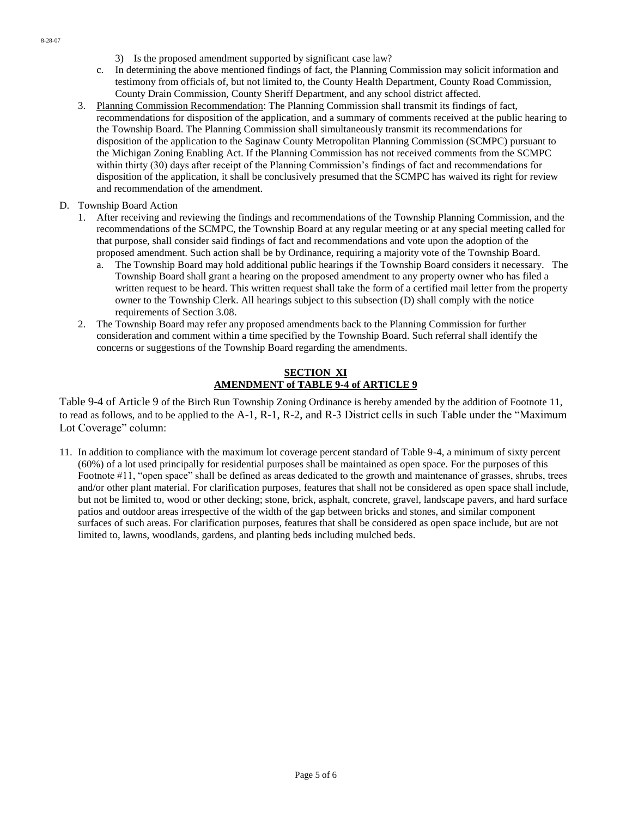- 3) Is the proposed amendment supported by significant case law?
- c. In determining the above mentioned findings of fact, the Planning Commission may solicit information and testimony from officials of, but not limited to, the County Health Department, County Road Commission, County Drain Commission, County Sheriff Department, and any school district affected.
- 3. Planning Commission Recommendation: The Planning Commission shall transmit its findings of fact, recommendations for disposition of the application, and a summary of comments received at the public hearing to the Township Board. The Planning Commission shall simultaneously transmit its recommendations for disposition of the application to the Saginaw County Metropolitan Planning Commission (SCMPC) pursuant to the Michigan Zoning Enabling Act. If the Planning Commission has not received comments from the SCMPC within thirty (30) days after receipt of the Planning Commission's findings of fact and recommendations for disposition of the application, it shall be conclusively presumed that the SCMPC has waived its right for review and recommendation of the amendment.
- D. Township Board Action
	- 1. After receiving and reviewing the findings and recommendations of the Township Planning Commission, and the recommendations of the SCMPC, the Township Board at any regular meeting or at any special meeting called for that purpose, shall consider said findings of fact and recommendations and vote upon the adoption of the proposed amendment. Such action shall be by Ordinance, requiring a majority vote of the Township Board.
		- a. The Township Board may hold additional public hearings if the Township Board considers it necessary. The Township Board shall grant a hearing on the proposed amendment to any property owner who has filed a written request to be heard. This written request shall take the form of a certified mail letter from the property owner to the Township Clerk. All hearings subject to this subsection (D) shall comply with the notice requirements of Section 3.08.
	- 2. The Township Board may refer any proposed amendments back to the Planning Commission for further consideration and comment within a time specified by the Township Board. Such referral shall identify the concerns or suggestions of the Township Board regarding the amendments.

## **SECTION XI AMENDMENT of TABLE 9-4 of ARTICLE 9**

Table 9-4 of Article 9 of the Birch Run Township Zoning Ordinance is hereby amended by the addition of Footnote 11, to read as follows, and to be applied to the A-1, R-1, R-2, and R-3 District cells in such Table under the "Maximum Lot Coverage" column:

11. In addition to compliance with the maximum lot coverage percent standard of Table 9-4, a minimum of sixty percent (60%) of a lot used principally for residential purposes shall be maintained as open space. For the purposes of this Footnote #11, "open space" shall be defined as areas dedicated to the growth and maintenance of grasses, shrubs, trees and/or other plant material. For clarification purposes, features that shall not be considered as open space shall include, but not be limited to, wood or other decking; stone, brick, asphalt, concrete, gravel, landscape pavers, and hard surface patios and outdoor areas irrespective of the width of the gap between bricks and stones, and similar component surfaces of such areas. For clarification purposes, features that shall be considered as open space include, but are not limited to, lawns, woodlands, gardens, and planting beds including mulched beds.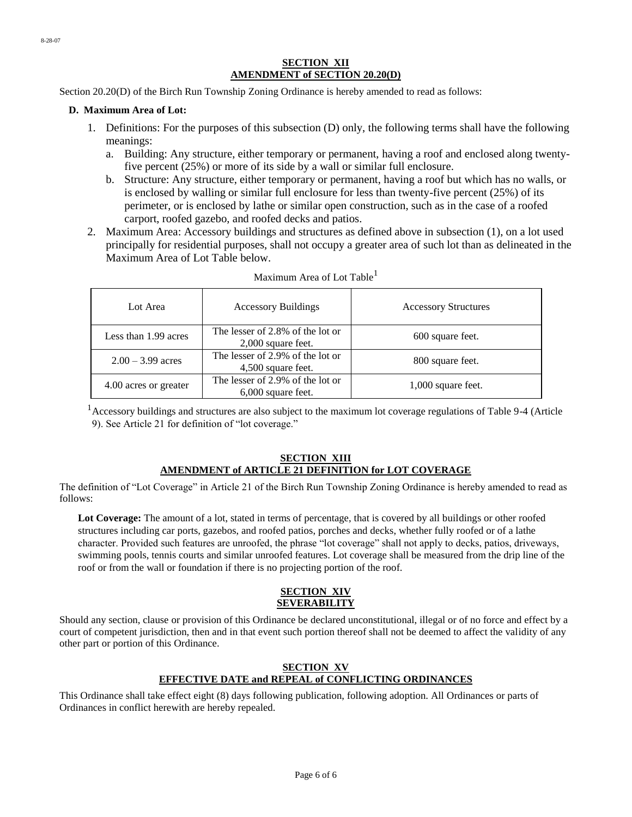#### **SECTION XII AMENDMENT of SECTION 20.20(D)**

Section 20.20(D) of the Birch Run Township Zoning Ordinance is hereby amended to read as follows:

#### **D. Maximum Area of Lot:**

- 1. Definitions: For the purposes of this subsection (D) only, the following terms shall have the following meanings:
	- a. Building: Any structure, either temporary or permanent, having a roof and enclosed along twentyfive percent (25%) or more of its side by a wall or similar full enclosure.
	- b. Structure: Any structure, either temporary or permanent, having a roof but which has no walls, or is enclosed by walling or similar full enclosure for less than twenty-five percent (25%) of its perimeter, or is enclosed by lathe or similar open construction, such as in the case of a roofed carport, roofed gazebo, and roofed decks and patios.
- 2. Maximum Area: Accessory buildings and structures as defined above in subsection (1), on a lot used principally for residential purposes, shall not occupy a greater area of such lot than as delineated in the Maximum Area of Lot Table below.

| Lot Area              | <b>Accessory Buildings</b>                               | <b>Accessory Structures</b> |
|-----------------------|----------------------------------------------------------|-----------------------------|
| Less than 1.99 acres  | The lesser of 2.8% of the lot or<br>$2,000$ square feet. | 600 square feet.            |
| $2.00 - 3.99$ acres   | The lesser of 2.9% of the lot or<br>4,500 square feet.   | 800 square feet.            |
| 4.00 acres or greater | The lesser of 2.9% of the lot or<br>$6,000$ square feet. | 1,000 square feet.          |

#### Maximum Area of Lot Table<sup>1</sup>

 $1<sup>1</sup>$  Accessory buildings and structures are also subject to the maximum lot coverage regulations of Table 9-4 (Article 9). See Article 21 for definition of "lot coverage."

## **SECTION XIII AMENDMENT of ARTICLE 21 DEFINITION for LOT COVERAGE**

The definition of "Lot Coverage" in Article 21 of the Birch Run Township Zoning Ordinance is hereby amended to read as follows:

Lot Coverage: The amount of a lot, stated in terms of percentage, that is covered by all buildings or other roofed structures including car ports, gazebos, and roofed patios, porches and decks, whether fully roofed or of a lathe character. Provided such features are unroofed, the phrase "lot coverage" shall not apply to decks, patios, driveways, swimming pools, tennis courts and similar unroofed features. Lot coverage shall be measured from the drip line of the roof or from the wall or foundation if there is no projecting portion of the roof.

#### **SECTION XIV SEVERABILITY**

Should any section, clause or provision of this Ordinance be declared unconstitutional, illegal or of no force and effect by a court of competent jurisdiction, then and in that event such portion thereof shall not be deemed to affect the validity of any other part or portion of this Ordinance.

## **SECTION XV EFFECTIVE DATE and REPEAL of CONFLICTING ORDINANCES**

This Ordinance shall take effect eight (8) days following publication, following adoption. All Ordinances or parts of Ordinances in conflict herewith are hereby repealed.